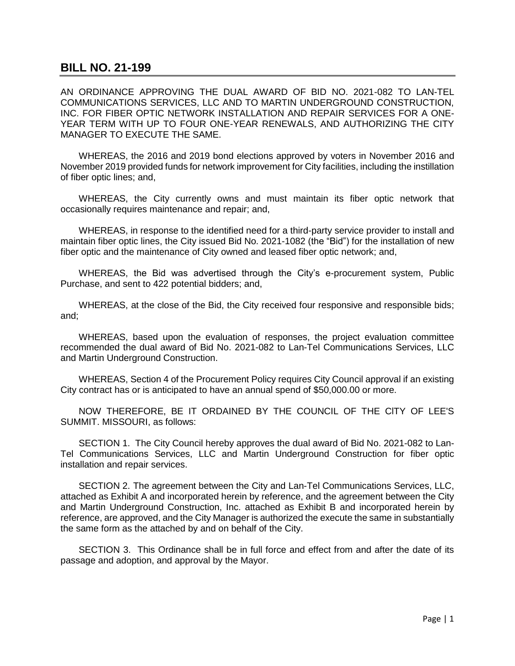## **BILL NO. 21-199**

AN ORDINANCE APPROVING THE DUAL AWARD OF BID NO. 2021-082 TO LAN-TEL COMMUNICATIONS SERVICES, LLC AND TO MARTIN UNDERGROUND CONSTRUCTION, INC. FOR FIBER OPTIC NETWORK INSTALLATION AND REPAIR SERVICES FOR A ONE-YEAR TERM WITH UP TO FOUR ONE-YEAR RENEWALS, AND AUTHORIZING THE CITY MANAGER TO EXECUTE THE SAME.

WHEREAS, the 2016 and 2019 bond elections approved by voters in November 2016 and November 2019 provided funds for network improvement for City facilities, including the instillation of fiber optic lines; and,

WHEREAS, the City currently owns and must maintain its fiber optic network that occasionally requires maintenance and repair; and,

WHEREAS, in response to the identified need for a third-party service provider to install and maintain fiber optic lines, the City issued Bid No. 2021-1082 (the "Bid") for the installation of new fiber optic and the maintenance of City owned and leased fiber optic network; and,

WHEREAS, the Bid was advertised through the City's e-procurement system, Public Purchase, and sent to 422 potential bidders; and,

WHEREAS, at the close of the Bid, the City received four responsive and responsible bids; and;

WHEREAS, based upon the evaluation of responses, the project evaluation committee recommended the dual award of Bid No. 2021-082 to Lan-Tel Communications Services, LLC and Martin Underground Construction.

WHEREAS, Section 4 of the Procurement Policy requires City Council approval if an existing City contract has or is anticipated to have an annual spend of \$50,000.00 or more.

NOW THEREFORE, BE IT ORDAINED BY THE COUNCIL OF THE ClTY OF LEE'S SUMMIT. MISSOURI, as follows:

SECTION 1. The City Council hereby approves the dual award of Bid No. 2021-082 to Lan-Tel Communications Services, LLC and Martin Underground Construction for fiber optic installation and repair services.

SECTION 2. The agreement between the City and Lan-Tel Communications Services, LLC, attached as Exhibit A and incorporated herein by reference, and the agreement between the City and Martin Underground Construction, Inc. attached as Exhibit B and incorporated herein by reference, are approved, and the City Manager is authorized the execute the same in substantially the same form as the attached by and on behalf of the City.

SECTION 3. This Ordinance shall be in full force and effect from and after the date of its passage and adoption, and approval by the Mayor.